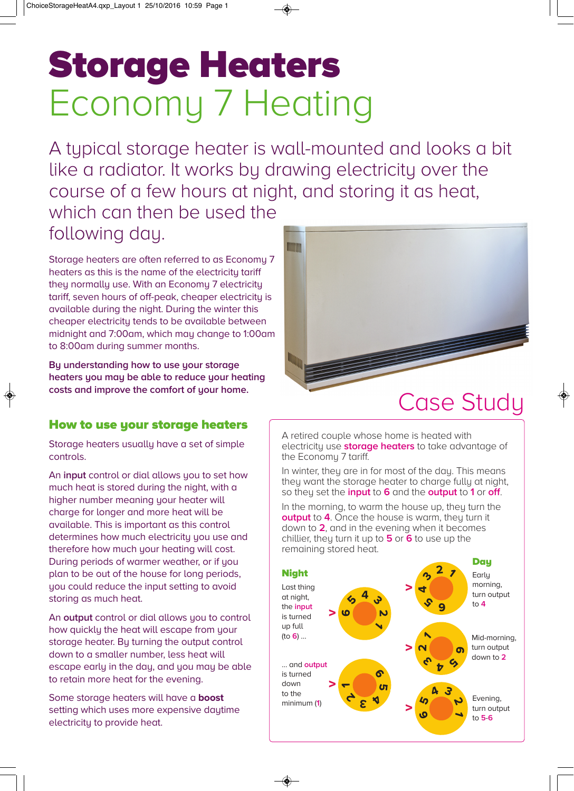# **Storage Heaters** Economy 7 Heating

A typical storage heater is wall-mounted and looks a bit like a radiator. It works by drawing electricity over the course of a few hours at night, and storing it as heat,

IIIIIIIIII

which can then be used the following day.

Storage heaters are often referred to as Economy 7 heaters as this is the name of the electricity tariff they normally use. With an Economy 7 electricity tariff, seven hours of off-peak, cheaper electricity is available during the night. During the winter this cheaper electricity tends to be available between midnight and 7:00am, which may change to 1:00am to 8:00am during summer months.

**By understanding how to use your storage heaters you may be able to reduce your heating costs and improve the comfort of your home.**

### **How to use your storage heaters**

Storage heaters usually have a set of simple controls.

An **input** control or dial allows you to set how much heat is stored during the night, with a higher number meaning your heater will charge for longer and more heat will be available. This is important as this control determines how much electricity you use and therefore how much your heating will cost. During periods of warmer weather, or if you plan to be out of the house for long periods, you could reduce the input setting to avoid storing as much heat.

An **output** control or dial allows you to control how quickly the heat will escape from your storage heater. By turning the output control down to a smaller number, less heat will escape early in the day, and you may be able to retain more heat for the evening.

Some storage heaters will have a **boost** setting which uses more expensive daytime electricity to provide heat.

**INNIN** Case Study

A retired couple whose home is heated with electricity use **storage heaters** to take advantage of the Economy 7 tariff.

In winter, they are in for most of the day. This means they want the storage heater to charge fully at night, so they set the **input** to **6** and the **output** to **1** or **off**.

In the morning, to warm the house up, they turn the **output** to **4**. Once the house is warm, they turn it down to **2**, and in the evening when it becomes chillier, they turn it up to **5** or **6** to use up the remaining stored heat.